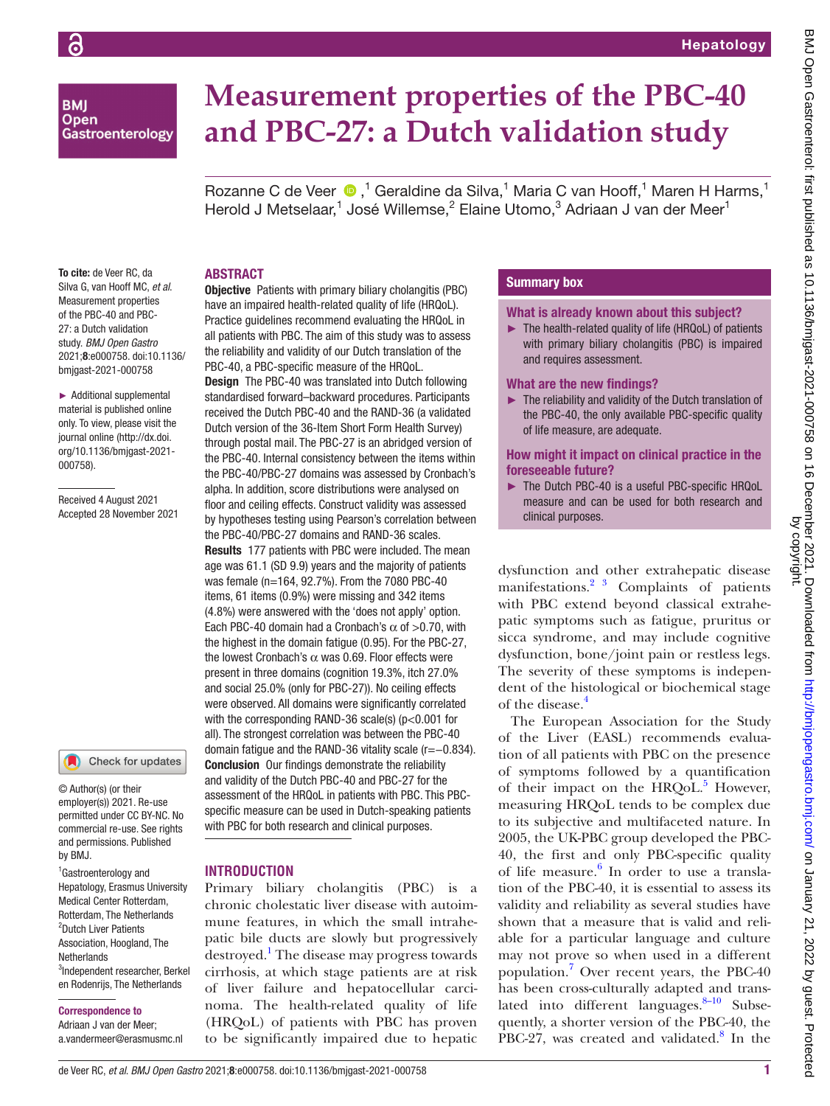## **BMI Open** Gastroenterology

# **Measurement properties of the PBC-40 and PBC-27: a Dutch validation study**

RozanneC de Veer  $\bigcirc$ ,<sup>1</sup> Geraldine da Silva,<sup>1</sup> Maria C van Hooff,<sup>1</sup> Maren H Harms,<sup>1</sup> Herold J Metselaar,<sup>1</sup> José Willemse,<sup>2</sup> Elaine Utomo,<sup>3</sup> Adriaan J van der Meer<sup>1</sup>

### ABSTRACT

To cite: de Veer RC, da Silva G, van Hooff MC, *et al*. Measurement properties of the PBC-40 and PBC-27: a Dutch validation study. *BMJ Open Gastro* 2021;8:e000758. doi:10.1136/ bmjgast-2021-000758

► Additional supplemental material is published online only. To view, please visit the journal online ([http://dx.doi.](http://dx.doi.org/10.1136/bmjgast-2021-000758) [org/10.1136/bmjgast-2021-](http://dx.doi.org/10.1136/bmjgast-2021-000758) [000758](http://dx.doi.org/10.1136/bmjgast-2021-000758)).

Received 4 August 2021 Accepted 28 November 2021

#### Check for updates

© Author(s) (or their employer(s)) 2021. Re-use permitted under CC BY-NC. No commercial re-use. See rights and permissions. Published by BMJ.

1 Gastroenterology and Hepatology, Erasmus University Medical Center Rotterdam, Rotterdam, The Netherlands <sup>2</sup>Dutch Liver Patients Association, Hoogland, The Netherlands 3 Independent researcher, Berkel en Rodenrijs, The Netherlands

#### Correspondence to

Adriaan J van der Meer; a.vandermeer@erasmusmc.nl

Objective Patients with primary biliary cholangitis (PBC) have an impaired health-related quality of life (HRQoL). Practice guidelines recommend evaluating the HRQoL in all patients with PBC. The aim of this study was to assess the reliability and validity of our Dutch translation of the PBC-40, a PBC-specific measure of the HRQoL.

Design The PBC-40 was translated into Dutch following standardised forward–backward procedures. Participants received the Dutch PBC-40 and the RAND-36 (a validated Dutch version of the 36-Item Short Form Health Survey) through postal mail. The PBC-27 is an abridged version of the PBC-40. Internal consistency between the items within the PBC-40/PBC-27 domains was assessed by Cronbach's alpha. In addition, score distributions were analysed on floor and ceiling effects. Construct validity was assessed by hypotheses testing using Pearson's correlation between the PBC-40/PBC-27 domains and RAND-36 scales. Results 177 patients with PBC were included. The mean age was 61.1 (SD 9.9) years and the majority of patients was female (n=164, 92.7%). From the 7080 PBC-40 items, 61 items (0.9%) were missing and 342 items (4.8%) were answered with the 'does not apply' option. Each PBC-40 domain had a Cronbach's  $\alpha$  of >0.70, with the highest in the domain fatigue (0.95). For the PBC-27, the lowest Cronbach's  $\alpha$  was 0.69. Floor effects were present in three domains (cognition 19.3%, itch 27.0% and social 25.0% (only for PBC-27)). No ceiling effects were observed. All domains were significantly correlated with the corresponding RAND-36 scale(s) (p<0.001 for all). The strongest correlation was between the PBC-40 domain fatigue and the RAND-36 vitality scale (r=−0.834). Conclusion Our findings demonstrate the reliability and validity of the Dutch PBC-40 and PBC-27 for the assessment of the HRQoL in patients with PBC. This PBCspecific measure can be used in Dutch-speaking patients with PBC for both research and clinical purposes.

#### **INTRODUCTION**

Primary biliary cholangitis (PBC) is a chronic cholestatic liver disease with autoimmune features, in which the small intrahepatic bile ducts are slowly but progressively destroyed.<sup>[1](#page-5-0)</sup> The disease may progress towards cirrhosis, at which stage patients are at risk of liver failure and hepatocellular carcinoma. The health-related quality of life (HRQoL) of patients with PBC has proven to be significantly impaired due to hepatic

# Summary box

#### What is already known about this subject?

► The health-related quality of life (HRQoL) of patients with primary biliary cholangitis (PBC) is impaired and requires assessment.

#### What are the new findings?

► The reliability and validity of the Dutch translation of the PBC-40, the only available PBC-specific quality of life measure, are adequate.

#### How might it impact on clinical practice in the foreseeable future?

The Dutch PBC-40 is a useful PBC-specific HRQoL measure and can be used for both research and clinical purposes.

dysfunction and other extrahepatic disease manifestations.<sup>2</sup><sup>3</sup> Complaints of patients with PBC extend beyond classical extrahepatic symptoms such as fatigue, pruritus or sicca syndrome, and may include cognitive dysfunction, bone/joint pain or restless legs. The severity of these symptoms is independent of the histological or biochemical stage of the disease.[4](#page-5-2)

The European Association for the Study of the Liver (EASL) recommends evaluation of all patients with PBC on the presence of symptoms followed by a quantification of their impact on the HRQoL.<sup>[5](#page-5-3)</sup> However, measuring HRQoL tends to be complex due to its subjective and multifaceted nature. In 2005, the UK-PBC group developed the PBC-40, the first and only PBC-specific quality of life measure.<sup>[6](#page-5-4)</sup> In order to use a translation of the PBC-40, it is essential to assess its validity and reliability as several studies have shown that a measure that is valid and reliable for a particular language and culture may not prove so when used in a different population[.7](#page-5-5) Over recent years, the PBC-40 has been cross-culturally adapted and translated into different languages. $8-10$  Subsequently, a shorter version of the PBC-40, the PBC-27, was created and validated. $8 \text{ In the}$  $8 \text{ In the}$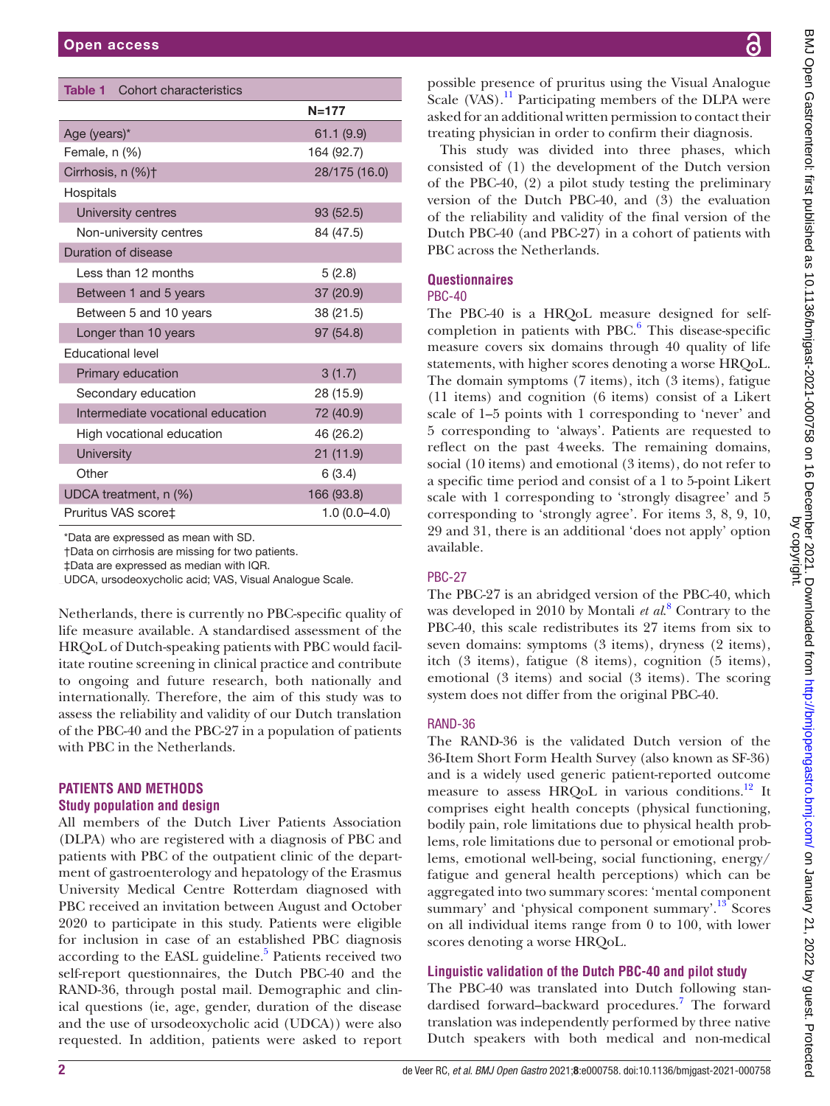<span id="page-1-0"></span>

| <b>Table 1</b> Cohort characteristics |                |  |  |  |
|---------------------------------------|----------------|--|--|--|
|                                       | $N = 177$      |  |  |  |
| Age (years)*                          | 61.1(9.9)      |  |  |  |
| Female, n (%)                         | 164 (92.7)     |  |  |  |
| Cirrhosis, n (%)+                     | 28/175 (16.0)  |  |  |  |
| Hospitals                             |                |  |  |  |
| University centres                    | 93 (52.5)      |  |  |  |
| Non-university centres                | 84 (47.5)      |  |  |  |
| Duration of disease                   |                |  |  |  |
| Less than 12 months                   | 5(2.8)         |  |  |  |
| Between 1 and 5 years                 | 37 (20.9)      |  |  |  |
| 38 (21.5)<br>Between 5 and 10 years   |                |  |  |  |
| 97 (54.8)<br>Longer than 10 years     |                |  |  |  |
| <b>Educational level</b>              |                |  |  |  |
| Primary education                     | 3(1.7)         |  |  |  |
| Secondary education                   | 28 (15.9)      |  |  |  |
| Intermediate vocational education     | 72 (40.9)      |  |  |  |
| High vocational education             | 46 (26.2)      |  |  |  |
| University                            | 21 (11.9)      |  |  |  |
| Other                                 | 6(3.4)         |  |  |  |
| UDCA treatment, n (%)<br>166 (93.8)   |                |  |  |  |
| Pruritus VAS score‡                   | $1.0(0.0-4.0)$ |  |  |  |

\*Data are expressed as mean with SD.

†Data on cirrhosis are missing for two patients.

‡Data are expressed as median with IQR.

UDCA, ursodeoxycholic acid; VAS, Visual Analogue Scale.

Netherlands, there is currently no PBC-specific quality of life measure available. A standardised assessment of the HRQoL of Dutch-speaking patients with PBC would facilitate routine screening in clinical practice and contribute to ongoing and future research, both nationally and internationally. Therefore, the aim of this study was to assess the reliability and validity of our Dutch translation of the PBC-40 and the PBC-27 in a population of patients with PBC in the Netherlands.

# **PATIENTS AND METHODS**

#### **Study population and design**

All members of the Dutch Liver Patients Association (DLPA) who are registered with a diagnosis of PBC and patients with PBC of the outpatient clinic of the department of gastroenterology and hepatology of the Erasmus University Medical Centre Rotterdam diagnosed with PBC received an invitation between August and October 2020 to participate in this study. Patients were eligible for inclusion in case of an established PBC diagnosis according to the EASL guideline.<sup>5</sup> Patients received two self-report questionnaires, the Dutch PBC-40 and the RAND-36, through postal mail. Demographic and clinical questions (ie, age, gender, duration of the disease and the use of ursodeoxycholic acid (UDCA)) were also requested. In addition, patients were asked to report

BMJ Open Gastroenterol: first published as 10.1136/bmjgast-2021-000758 on 16 December 2021. Downloaded from http://bmjopengastro.bmj.com/ on January 21, 2022 by guest. Protected<br>by copyright. BMJ Open Gastroenterol: first published as 10.1136/bmjgast-2021-000758 on 16 December 2021. Downloaded from thtp://bmjopengastro.bmj.com/ on January 21, 2022 by guest. Protected by copyright.

possible presence of pruritus using the Visual Analogue Scale (VAS).<sup>[11](#page-5-7)</sup> Participating members of the DLPA were asked for an additional written permission to contact their treating physician in order to confirm their diagnosis.

This study was divided into three phases, which consisted of (1) the development of the Dutch version of the PBC-40, (2) a pilot study testing the preliminary version of the Dutch PBC-40, and (3) the evaluation of the reliability and validity of the final version of the Dutch PBC-40 (and PBC-27) in a cohort of patients with PBC across the Netherlands.

#### **Questionnaires**

# PBC-40

The PBC-40 is a HRQoL measure designed for selfcompletion in patients with PBC. $6$  This disease-specific measure covers six domains through 40 quality of life statements, with higher scores denoting a worse HRQoL. The domain symptoms (7 items), itch (3 items), fatigue (11 items) and cognition (6 items) consist of a Likert scale of 1–5 points with 1 corresponding to 'never' and 5 corresponding to 'always'. Patients are requested to reflect on the past 4weeks. The remaining domains, social (10 items) and emotional (3 items), do not refer to a specific time period and consist of a 1 to 5-point Likert scale with 1 corresponding to 'strongly disagree' and 5 corresponding to 'strongly agree'. For items 3, 8, 9, 10, 29 and 31, there is an additional 'does not apply' option available.

#### PBC-27

The PBC-27 is an abridged version of the PBC-40, which was developed in 2010 by Montali *et al*. [8](#page-5-6) Contrary to the PBC-40, this scale redistributes its 27 items from six to seven domains: symptoms (3 items), dryness (2 items), itch (3 items), fatigue (8 items), cognition (5 items), emotional (3 items) and social (3 items). The scoring system does not differ from the original PBC-40.

### RAND-36

The RAND-36 is the validated Dutch version of the 36-Item Short Form Health Survey (also known as SF-36) and is a widely used generic patient-reported outcome measure to assess HRQoL in various conditions.<sup>12</sup> It comprises eight health concepts (physical functioning, bodily pain, role limitations due to physical health problems, role limitations due to personal or emotional problems, emotional well-being, social functioning, energy/ fatigue and general health perceptions) which can be aggregated into two summary scores: 'mental component summary' and 'physical component summary'.<sup>13</sup> Scores on all individual items range from 0 to 100, with lower scores denoting a worse HRQoL.

# **Linguistic validation of the Dutch PBC-40 and pilot study**

The PBC-40 was translated into Dutch following standardised forward–backward procedures.<sup>7</sup> The forward translation was independently performed by three native Dutch speakers with both medical and non-medical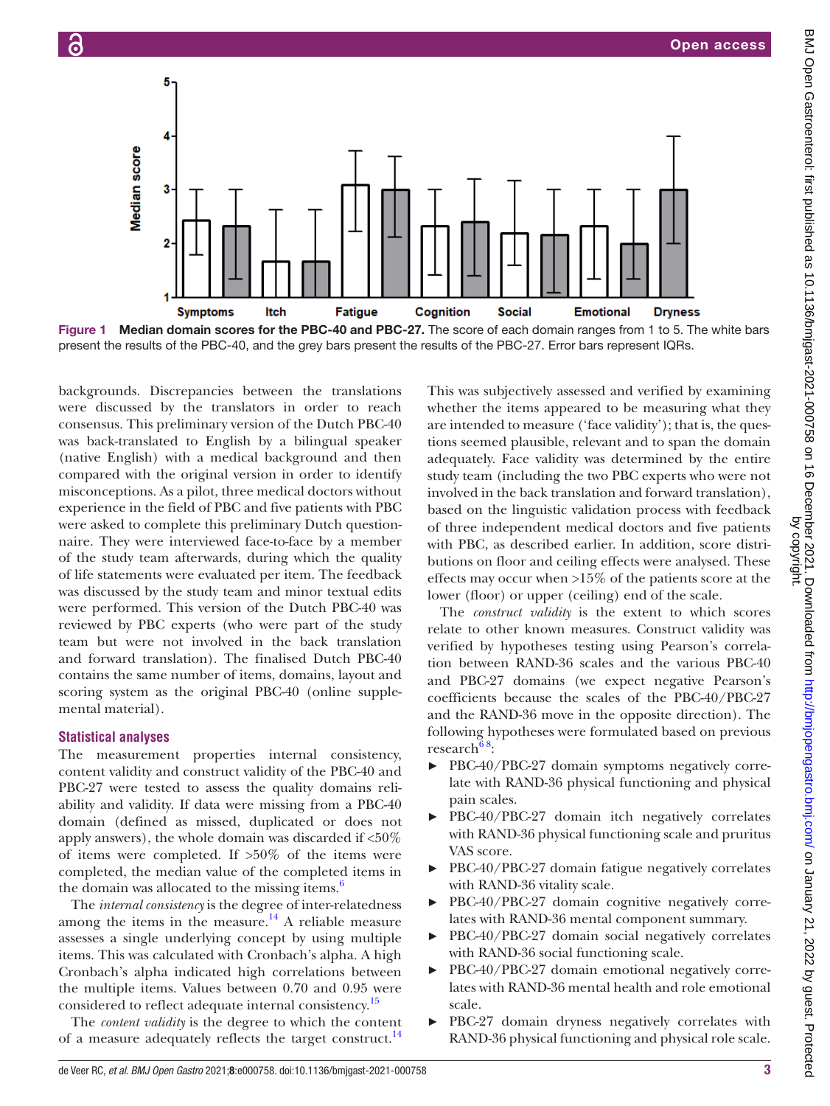

<span id="page-2-0"></span>Figure 1 Median domain scores for the PBC-40 and PBC-27. The score of each domain ranges from 1 to 5. The white bars present the results of the PBC-40, and the grey bars present the results of the PBC-27. Error bars represent IQRs.

backgrounds. Discrepancies between the translations were discussed by the translators in order to reach consensus. This preliminary version of the Dutch PBC-40 was back-translated to English by a bilingual speaker (native English) with a medical background and then compared with the original version in order to identify misconceptions. As a pilot, three medical doctors without experience in the field of PBC and five patients with PBC were asked to complete this preliminary Dutch questionnaire. They were interviewed face-to-face by a member of the study team afterwards, during which the quality of life statements were evaluated per item. The feedback was discussed by the study team and minor textual edits were performed. This version of the Dutch PBC-40 was reviewed by PBC experts (who were part of the study team but were not involved in the back translation and forward translation). The finalised Dutch PBC-40 contains the same number of items, domains, layout and scoring system as the original PBC-40 [\(online supple](https://dx.doi.org/10.1136/bmjgast-2021-000758)[mental material](https://dx.doi.org/10.1136/bmjgast-2021-000758)).

#### **Statistical analyses**

The measurement properties internal consistency, content validity and construct validity of the PBC-40 and PBC-27 were tested to assess the quality domains reliability and validity. If data were missing from a PBC-40 domain (defined as missed, duplicated or does not apply answers), the whole domain was discarded if <50% of items were completed. If >50% of the items were completed, the median value of the completed items in the domain was allocated to the missing items.<sup>[6](#page-5-4)</sup>

The *internal consistency* is the degree of inter-relatedness among the items in the measure.<sup>14</sup> A reliable measure assesses a single underlying concept by using multiple items. This was calculated with Cronbach's alpha. A high Cronbach's alpha indicated high correlations between the multiple items. Values between 0.70 and 0.95 were considered to reflect adequate internal consistency.<sup>[15](#page-5-11)</sup>

The *content validity* is the degree to which the content of a measure adequately reflects the target construct.<sup>14</sup>

This was subjectively assessed and verified by examining whether the items appeared to be measuring what they are intended to measure ('face validity'); that is, the questions seemed plausible, relevant and to span the domain adequately. Face validity was determined by the entire study team (including the two PBC experts who were not involved in the back translation and forward translation), based on the linguistic validation process with feedback of three independent medical doctors and five patients with PBC, as described earlier. In addition, score distributions on floor and ceiling effects were analysed. These effects may occur when >15% of the patients score at the lower (floor) or upper (ceiling) end of the scale.

The *construct validity* is the extent to which scores relate to other known measures. Construct validity was verified by hypotheses testing using Pearson's correlation between RAND-36 scales and the various PBC-40 and PBC-27 domains (we expect negative Pearson's coefficients because the scales of the PBC-40/PBC-27 and the RAND-36 move in the opposite direction). The following hypotheses were formulated based on previous research $68$ :

- ► PBC-40/PBC-27 domain symptoms negatively correlate with RAND-36 physical functioning and physical pain scales.
- ► PBC-40/PBC-27 domain itch negatively correlates with RAND-36 physical functioning scale and pruritus VAS score.
- ► PBC-40/PBC-27 domain fatigue negatively correlates with RAND-36 vitality scale.
- PBC-40/PBC-27 domain cognitive negatively correlates with RAND-36 mental component summary.
- ► PBC-40/PBC-27 domain social negatively correlates with RAND-36 social functioning scale.
- ► PBC-40/PBC-27 domain emotional negatively correlates with RAND-36 mental health and role emotional scale.
- ► PBC-27 domain dryness negatively correlates with RAND-36 physical functioning and physical role scale.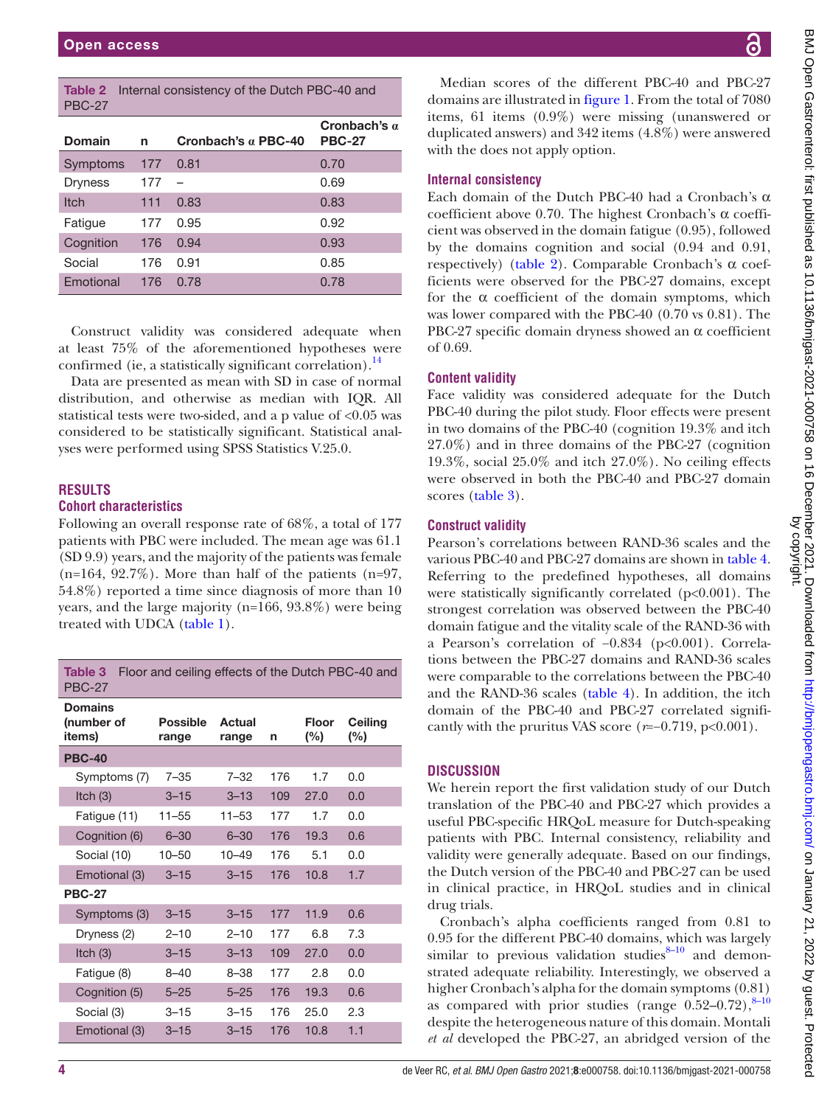<span id="page-3-0"></span>

|               | <b>Table 2</b> Internal consistency of the Dutch PBC-40 and |
|---------------|-------------------------------------------------------------|
| <b>PBC-27</b> |                                                             |

| <b>Domain</b>  | n   | Cronbach's $\alpha$ PBC-40 | Cronbach's $a$<br><b>PBC-27</b> |
|----------------|-----|----------------------------|---------------------------------|
| Symptoms       | 177 | 0.81                       | 0.70                            |
| <b>Dryness</b> | 177 |                            | 0.69                            |
| <b>Itch</b>    | 111 | 0.83                       | 0.83                            |
| Fatigue        | 177 | 0.95                       | 0.92                            |
| Cognition      | 176 | 0.94                       | 0.93                            |
| Social         | 176 | 0.91                       | 0.85                            |
| Emotional      | 176 | 0.78                       | 0.78                            |

Construct validity was considered adequate when at least 75% of the aforementioned hypotheses were confirmed (ie, a statistically significant correlation). $^{14}$  $^{14}$  $^{14}$ 

Data are presented as mean with SD in case of normal distribution, and otherwise as median with IQR. All statistical tests were two-sided, and a p value of <0.05 was considered to be statistically significant. Statistical analyses were performed using SPSS Statistics V.25.0.

#### **RESULTS**

#### **Cohort characteristics**

Following an overall response rate of 68%, a total of 177 patients with PBC were included. The mean age was 61.1 (SD 9.9) years, and the majority of the patients was female  $(n=164, 92.7\%)$ . More than half of the patients  $(n=97, 100)$ 54.8%) reported a time since diagnosis of more than 10 years, and the large majority (n=166, 93.8%) were being treated with UDCA [\(table](#page-1-0) 1).

<span id="page-3-1"></span>

| Table 3<br>Floor and ceiling effects of the Dutch PBC-40 and<br><b>PBC-27</b> |                          |                 |     |                 |                   |
|-------------------------------------------------------------------------------|--------------------------|-----------------|-----|-----------------|-------------------|
| <b>Domains</b><br>(number of<br>items)                                        | <b>Possible</b><br>range | Actual<br>range | n   | Floor<br>$(\%)$ | Ceilina<br>$(\%)$ |
| <b>PBC-40</b>                                                                 |                          |                 |     |                 |                   |
| Symptoms (7)                                                                  | $7 - 35$                 | $7 - 32$        | 176 | 1.7             | 0.0               |
| Itch $(3)$                                                                    | $3 - 15$                 | $3 - 13$        | 109 | 27.0            | 0.0               |
| Fatigue (11)                                                                  | $11 - 55$                | $11 - 53$       | 177 | 1.7             | 0.0               |
| Cognition (6)                                                                 | $6 - 30$                 | $6 - 30$        | 176 | 19.3            | 0.6               |
| Social (10)                                                                   | $10 - 50$                | $10 - 49$       | 176 | 5.1             | 0.0               |
| Emotional (3)                                                                 | $3 - 15$                 | $3 - 15$        | 176 | 10.8            | 1.7               |
| <b>PBC-27</b>                                                                 |                          |                 |     |                 |                   |
| Symptoms (3)                                                                  | $3 - 15$                 | $3 - 15$        | 177 | 11.9            | 0.6               |
| Dryness (2)                                                                   | $2 - 10$                 | $2 - 10$        | 177 | 6.8             | 7.3               |
| Itch $(3)$                                                                    | $3 - 15$                 | $3 - 13$        | 109 | 27.0            | 0.0               |
| Fatigue (8)                                                                   | $8 - 40$                 | 8–38            | 177 | 2.8             | 0.O               |
| Cognition (5)                                                                 | $5 - 25$                 | $5 - 25$        | 176 | 19.3            | 0.6               |
| Social (3)                                                                    | $3 - 15$                 | $3 - 15$        | 176 | 25.0            | 2.3               |
| Emotional (3)                                                                 | $3 - 15$                 | $3 - 15$        | 176 | 10.8            | 1.1               |

#### **Internal consistency**

Each domain of the Dutch PBC-40 had a Cronbach's α coefficient above 0.70. The highest Cronbach's α coefficient was observed in the domain fatigue (0.95), followed by the domains cognition and social (0.94 and 0.91, respectively) ([table](#page-3-0) 2). Comparable Cronbach's α coefficients were observed for the PBC-27 domains, except for the  $\alpha$  coefficient of the domain symptoms, which was lower compared with the PBC-40 (0.70 vs 0.81). The PBC-27 specific domain dryness showed an α coefficient of 0.69.

#### **Content validity**

Face validity was considered adequate for the Dutch PBC-40 during the pilot study. Floor effects were present in two domains of the PBC-40 (cognition 19.3% and itch 27.0%) and in three domains of the PBC-27 (cognition 19.3%, social 25.0% and itch 27.0%). No ceiling effects were observed in both the PBC-40 and PBC-27 domain scores [\(table](#page-3-1) 3).

#### **Construct validity**

Pearson's correlations between RAND-36 scales and the various PBC-40 and PBC-27 domains are shown in [table](#page-4-0) 4. Referring to the predefined hypotheses, all domains were statistically significantly correlated (p<0.001). The strongest correlation was observed between the PBC-40 domain fatigue and the vitality scale of the RAND-36 with a Pearson's correlation of −0.834 (p<0.001). Correlations between the PBC-27 domains and RAND-36 scales were comparable to the correlations between the PBC-40 and the RAND-36 scales ([table](#page-4-0) 4). In addition, the itch domain of the PBC-40 and PBC-27 correlated significantly with the pruritus VAS score  $(r=-0.719, p<0.001)$ .

# **DISCUSSION**

We herein report the first validation study of our Dutch translation of the PBC-40 and PBC-27 which provides a useful PBC-specific HRQoL measure for Dutch-speaking patients with PBC. Internal consistency, reliability and validity were generally adequate. Based on our findings, the Dutch version of the PBC-40 and PBC-27 can be used in clinical practice, in HRQoL studies and in clinical drug trials.

Cronbach's alpha coefficients ranged from 0.81 to 0.95 for the different PBC-40 domains, which was largely similar to previous validation studies $8-10$  and demonstrated adequate reliability. Interestingly, we observed a higher Cronbach's alpha for the domain symptoms (0.81) as compared with prior studies (range  $0.52-0.72$ ),  $8-10$ despite the heterogeneous nature of this domain. Montali *et al* developed the PBC-27, an abridged version of the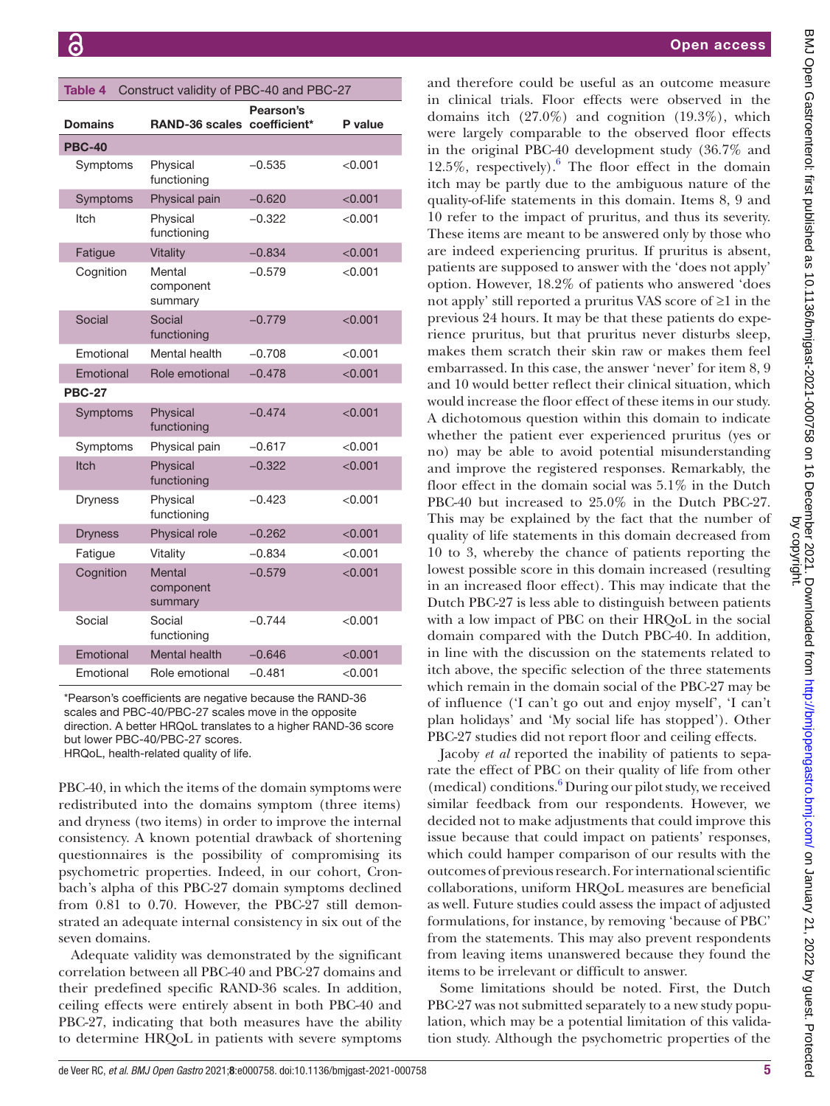<span id="page-4-0"></span>

| Table 4<br>Construct validity of PBC-40 and PBC-27 |                                |                           |         |
|----------------------------------------------------|--------------------------------|---------------------------|---------|
| <b>Domains</b>                                     | <b>RAND-36 scales</b>          | Pearson's<br>coefficient* | P value |
| <b>PBC-40</b>                                      |                                |                           |         |
| Symptoms                                           | Physical<br>functioning        | $-0.535$                  | < 0.001 |
| Symptoms                                           | Physical pain                  | $-0.620$                  | < 0.001 |
| ltch                                               | Physical<br>functioning        | $-0.322$                  | < 0.001 |
| Fatigue                                            | Vitality                       | $-0.834$                  | < 0.001 |
| Cognition                                          | Mental<br>component<br>summary | $-0.579$                  | < 0.001 |
| Social                                             | Social<br>functioning          | $-0.779$                  | < 0.001 |
| Emotional                                          | Mental health                  | $-0.708$                  | < 0.001 |
| Emotional                                          | Role emotional                 | $-0.478$                  | < 0.001 |
| <b>PBC-27</b>                                      |                                |                           |         |
| Symptoms                                           | Physical<br>functioning        | $-0.474$                  | < 0.001 |
| Symptoms                                           | Physical pain                  | $-0.617$                  | < 0.001 |
| <b>Itch</b>                                        | Physical<br>functioning        | $-0.322$                  | < 0.001 |
| <b>Dryness</b>                                     | Physical<br>functioning        | $-0.423$                  | < 0.001 |
| <b>Dryness</b>                                     | Physical role                  | $-0.262$                  | < 0.001 |
| Fatigue                                            | Vitality                       | $-0.834$                  | < 0.001 |
| Cognition                                          | Mental<br>component<br>summary | $-0.579$                  | < 0.001 |
| Social                                             | Social<br>functioning          | $-0.744$                  | < 0.001 |

\*Pearson's coefficients are negative because the RAND-36 scales and PBC-40/PBC-27 scales move in the opposite direction. A better HRQoL translates to a higher RAND-36 score but lower PBC-40/PBC-27 scores.

Emotional Mental health −0.646 <0.001 Emotional Role emotional −0.481 <0.001

HRQoL, health-related quality of life.

PBC-40, in which the items of the domain symptoms were redistributed into the domains symptom (three items) and dryness (two items) in order to improve the internal consistency. A known potential drawback of shortening questionnaires is the possibility of compromising its psychometric properties. Indeed, in our cohort, Cronbach's alpha of this PBC-27 domain symptoms declined from 0.81 to 0.70. However, the PBC-27 still demonstrated an adequate internal consistency in six out of the seven domains.

Adequate validity was demonstrated by the significant correlation between all PBC-40 and PBC-27 domains and their predefined specific RAND-36 scales. In addition, ceiling effects were entirely absent in both PBC-40 and PBC-27, indicating that both measures have the ability to determine HRQoL in patients with severe symptoms

and therefore could be useful as an outcome measure in clinical trials. Floor effects were observed in the domains itch  $(27.0\%)$  and cognition  $(19.3\%)$ , which were largely comparable to the observed floor effects in the original PBC-40 development study (36.7% and 12.5%, respectively). $6$  The floor effect in the domain itch may be partly due to the ambiguous nature of the quality-of-life statements in this domain. Items 8, 9 and 10 refer to the impact of pruritus, and thus its severity. These items are meant to be answered only by those who are indeed experiencing pruritus. If pruritus is absent, patients are supposed to answer with the 'does not apply' option. However, 18.2% of patients who answered 'does not apply' still reported a pruritus VAS score of ≥1 in the previous 24 hours. It may be that these patients do experience pruritus, but that pruritus never disturbs sleep, makes them scratch their skin raw or makes them feel embarrassed. In this case, the answer 'never' for item 8, 9 and 10 would better reflect their clinical situation, which would increase the floor effect of these items in our study. A dichotomous question within this domain to indicate whether the patient ever experienced pruritus (yes or no) may be able to avoid potential misunderstanding and improve the registered responses. Remarkably, the floor effect in the domain social was 5.1% in the Dutch PBC-40 but increased to 25.0% in the Dutch PBC-27. This may be explained by the fact that the number of quality of life statements in this domain decreased from 10 to 3, whereby the chance of patients reporting the lowest possible score in this domain increased (resulting in an increased floor effect). This may indicate that the Dutch PBC-27 is less able to distinguish between patients with a low impact of PBC on their HRQoL in the social domain compared with the Dutch PBC-40. In addition, in line with the discussion on the statements related to itch above, the specific selection of the three statements which remain in the domain social of the PBC-27 may be of influence ('I can't go out and enjoy myself', 'I can't plan holidays' and 'My social life has stopped'). Other PBC-27 studies did not report floor and ceiling effects.

Jacoby *et al* reported the inability of patients to separate the effect of PBC on their quality of life from other (medical) conditions[.6](#page-5-4) During our pilot study, we received similar feedback from our respondents. However, we decided not to make adjustments that could improve this issue because that could impact on patients' responses, which could hamper comparison of our results with the outcomes of previous research. For international scientific collaborations, uniform HRQoL measures are beneficial as well. Future studies could assess the impact of adjusted formulations, for instance, by removing 'because of PBC' from the statements. This may also prevent respondents from leaving items unanswered because they found the items to be irrelevant or difficult to answer.

Some limitations should be noted. First, the Dutch PBC-27 was not submitted separately to a new study population, which may be a potential limitation of this validation study. Although the psychometric properties of the